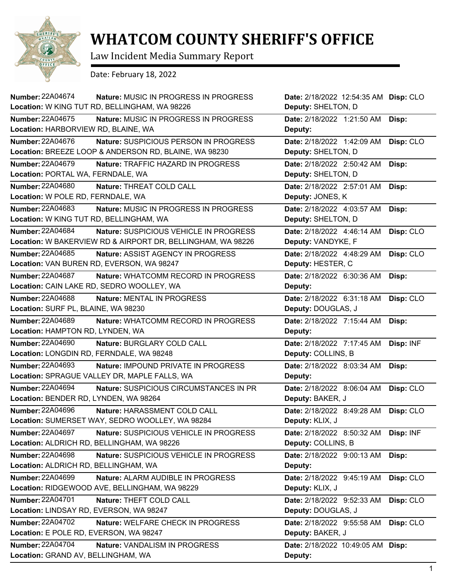

## **WHATCOM COUNTY SHERIFF'S OFFICE**

Law Incident Media Summary Report

Date: February 18, 2022

| <b>Number: 22A04674</b><br><b>Nature: MUSIC IN PROGRESS IN PROGRESS</b>                                                          | Date: 2/18/2022 12:54:35 AM Disp: CLO            |           |
|----------------------------------------------------------------------------------------------------------------------------------|--------------------------------------------------|-----------|
| Location: W KING TUT RD, BELLINGHAM, WA 98226                                                                                    | Deputy: SHELTON, D                               |           |
| <b>Number: 22A04675</b><br>Nature: MUSIC IN PROGRESS IN PROGRESS<br>Location: HARBORVIEW RD, BLAINE, WA                          | Date: 2/18/2022 1:21:50 AM<br>Deputy:            | Disp:     |
| <b>Number: 22A04676</b><br>Nature: SUSPICIOUS PERSON IN PROGRESS<br>Location: BREEZE LOOP & ANDERSON RD, BLAINE, WA 98230        | Date: 2/18/2022 1:42:09 AM<br>Deputy: SHELTON, D | Disp: CLO |
| <b>Number: 22A04679</b><br>Nature: TRAFFIC HAZARD IN PROGRESS                                                                    | Date: 2/18/2022 2:50:42 AM                       | Disp:     |
| Location: PORTAL WA, FERNDALE, WA                                                                                                | Deputy: SHELTON, D                               |           |
| <b>Number: 22A04680</b><br>Nature: THREAT COLD CALL                                                                              | Date: 2/18/2022 2:57:01 AM                       | Disp:     |
| Location: W POLE RD, FERNDALE, WA                                                                                                | Deputy: JONES, K                                 |           |
| Number: 22A04683<br>Nature: MUSIC IN PROGRESS IN PROGRESS                                                                        | Date: 2/18/2022 4:03:57 AM                       | Disp:     |
| Location: W KING TUT RD, BELLINGHAM, WA                                                                                          | Deputy: SHELTON, D                               |           |
| <b>Number: 22A04684</b><br>Nature: SUSPICIOUS VEHICLE IN PROGRESS<br>Location: W BAKERVIEW RD & AIRPORT DR, BELLINGHAM, WA 98226 | Date: 2/18/2022 4:46:14 AM<br>Deputy: VANDYKE, F | Disp: CLO |
| Number: 22A04685<br>Nature: ASSIST AGENCY IN PROGRESS                                                                            | Date: 2/18/2022 4:48:29 AM                       | Disp: CLO |
| Location: VAN BUREN RD, EVERSON, WA 98247                                                                                        | Deputy: HESTER, C                                |           |
| <b>Number: 22A04687</b><br>Nature: WHATCOMM RECORD IN PROGRESS                                                                   | Date: 2/18/2022 6:30:36 AM                       | Disp:     |
| Location: CAIN LAKE RD, SEDRO WOOLLEY, WA                                                                                        | Deputy:                                          |           |
| <b>Number: 22A04688</b><br>Nature: MENTAL IN PROGRESS                                                                            | Date: 2/18/2022 6:31:18 AM                       | Disp: CLO |
| Location: SURF PL, BLAINE, WA 98230                                                                                              | Deputy: DOUGLAS, J                               |           |
| <b>Number: 22A04689</b><br>Nature: WHATCOMM RECORD IN PROGRESS                                                                   | Date: 2/18/2022 7:15:44 AM                       | Disp:     |
| Location: HAMPTON RD, LYNDEN, WA                                                                                                 | Deputy:                                          |           |
|                                                                                                                                  |                                                  |           |
| <b>Number: 22A04690</b><br>Nature: BURGLARY COLD CALL                                                                            | Date: 2/18/2022 7:17:45 AM                       | Disp: INF |
| Location: LONGDIN RD, FERNDALE, WA 98248                                                                                         | Deputy: COLLINS, B                               |           |
| <b>Number: 22A04693</b><br>Nature: IMPOUND PRIVATE IN PROGRESS                                                                   | Date: 2/18/2022 8:03:34 AM                       | Disp:     |
| Location: SPRAGUE VALLEY DR, MAPLE FALLS, WA                                                                                     | Deputy:                                          |           |
| <b>Number: 22A04694</b><br>Nature: SUSPICIOUS CIRCUMSTANCES IN PR<br>Location: BENDER RD, LYNDEN, WA 98264                       | Date: 2/18/2022 8:06:04 AM<br>Deputy: BAKER, J   | Disp: CLO |
| <b>Number: 22A04696</b><br>Nature: HARASSMENT COLD CALL                                                                          | Date: 2/18/2022 8:49:28 AM                       | Disp: CLO |
| Location: SUMERSET WAY, SEDRO WOOLLEY, WA 98284                                                                                  | Deputy: KLIX, J                                  |           |
| <b>Number: 22A04697</b><br>Nature: SUSPICIOUS VEHICLE IN PROGRESS                                                                | Date: 2/18/2022 8:50:32 AM                       | Disp: INF |
| Location: ALDRICH RD, BELLINGHAM, WA 98226                                                                                       | Deputy: COLLINS, B                               |           |
| Number: 22A04698<br>Nature: SUSPICIOUS VEHICLE IN PROGRESS                                                                       | Date: 2/18/2022 9:00:13 AM                       | Disp:     |
| Location: ALDRICH RD, BELLINGHAM, WA                                                                                             | Deputy:                                          |           |
| <b>Number: 22A04699</b><br>Nature: ALARM AUDIBLE IN PROGRESS                                                                     | Date: 2/18/2022 9:45:19 AM                       | Disp: CLO |
| Location: RIDGEWOOD AVE, BELLINGHAM, WA 98229                                                                                    | Deputy: KLIX, J                                  |           |
| <b>Number: 22A04701</b><br>Nature: THEFT COLD CALL                                                                               | Date: 2/18/2022 9:52:33 AM                       | Disp: CLO |
| Location: LINDSAY RD, EVERSON, WA 98247                                                                                          | Deputy: DOUGLAS, J                               |           |
| Number: 22A04702<br>Nature: WELFARE CHECK IN PROGRESS                                                                            | Date: 2/18/2022 9:55:58 AM                       | Disp: CLO |
| Location: E POLE RD, EVERSON, WA 98247                                                                                           | Deputy: BAKER, J                                 |           |
| <b>Number: 22A04704</b><br><b>Nature: VANDALISM IN PROGRESS</b>                                                                  | Date: 2/18/2022 10:49:05 AM                      | Disp:     |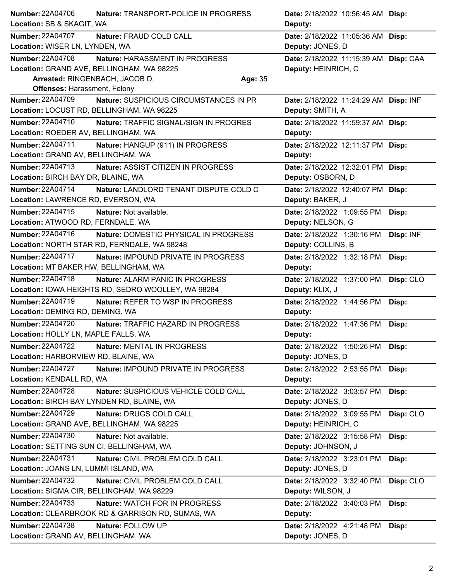| Number: 22A04706                          | <b>Nature: TRANSPORT-POLICE IN PROGRESS</b>        |         | <b>Date:</b> 2/18/2022 10:56:45 AM <b>Disp:</b> |           |
|-------------------------------------------|----------------------------------------------------|---------|-------------------------------------------------|-----------|
| Location: SB & SKAGIT, WA                 |                                                    |         | Deputy:                                         |           |
| <b>Number: 22A04707</b>                   | Nature: FRAUD COLD CALL                            |         | Date: 2/18/2022 11:05:36 AM                     | Disp:     |
| Location: WISER LN, LYNDEN, WA            |                                                    |         | Deputy: JONES, D                                |           |
| <b>Number: 22A04708</b>                   | Nature: HARASSMENT IN PROGRESS                     |         | Date: 2/18/2022 11:15:39 AM Disp: CAA           |           |
|                                           | Location: GRAND AVE, BELLINGHAM, WA 98225          |         | Deputy: HEINRICH, C                             |           |
| Arrested: RINGENBACH, JACOB D.            |                                                    | Age: 35 |                                                 |           |
| <b>Offenses: Harassment, Felony</b>       |                                                    |         |                                                 |           |
| <b>Number: 22A04709</b>                   | Nature: SUSPICIOUS CIRCUMSTANCES IN PR             |         | Date: 2/18/2022 11:24:29 AM Disp: INF           |           |
|                                           | Location: LOCUST RD, BELLINGHAM, WA 98225          |         | Deputy: SMITH, A                                |           |
| <b>Number: 22A04710</b>                   | <b>Nature: TRAFFIC SIGNAL/SIGN IN PROGRES</b>      |         | Date: 2/18/2022 11:59:37 AM Disp:               |           |
| Location: ROEDER AV, BELLINGHAM, WA       |                                                    |         | Deputy:                                         |           |
| Number: 22A04711                          | Nature: HANGUP (911) IN PROGRESS                   |         | Date: 2/18/2022 12:11:37 PM Disp:               |           |
| Location: GRAND AV, BELLINGHAM, WA        |                                                    |         | Deputy:                                         |           |
| Number: 22A04713                          | Nature: ASSIST CITIZEN IN PROGRESS                 |         | Date: 2/18/2022 12:32:01 PM                     | Disp:     |
| Location: BIRCH BAY DR, BLAINE, WA        |                                                    |         | Deputy: OSBORN, D                               |           |
| Number: 22A04714                          | Nature: LANDLORD TENANT DISPUTE COLD C             |         | Date: 2/18/2022 12:40:07 PM                     | Disp:     |
| Location: LAWRENCE RD, EVERSON, WA        |                                                    |         | Deputy: BAKER, J                                |           |
| Number: 22A04715                          | Nature: Not available.                             |         | Date: 2/18/2022 1:09:55 PM                      | Disp:     |
| Location: ATWOOD RD, FERNDALE, WA         |                                                    |         | Deputy: NELSON, G                               |           |
| Number: 22A04716                          | Nature: DOMESTIC PHYSICAL IN PROGRESS              |         | Date: 2/18/2022 1:30:16 PM                      | Disp: INF |
|                                           | Location: NORTH STAR RD, FERNDALE, WA 98248        |         | Deputy: COLLINS, B                              |           |
| Number: 22A04717                          | Nature: IMPOUND PRIVATE IN PROGRESS                |         | Date: 2/18/2022 1:32:18 PM                      | Disp:     |
| Location: MT BAKER HW, BELLINGHAM, WA     |                                                    |         | Deputy:                                         |           |
| <b>Number: 22A04718</b>                   | <b>Nature: ALARM PANIC IN PROGRESS</b>             |         | Date: 2/18/2022 1:37:00 PM                      | Disp: CLO |
|                                           | Location: IOWA HEIGHTS RD, SEDRO WOOLLEY, WA 98284 |         | Deputy: KLIX, J                                 |           |
| Number: 22A04719                          | Nature: REFER TO WSP IN PROGRESS                   |         | Date: 2/18/2022 1:44:56 PM                      | Disp:     |
| Location: DEMING RD, DEMING, WA           |                                                    |         | Deputy:                                         |           |
| Number: 22A04720                          | Nature: TRAFFIC HAZARD IN PROGRESS                 |         | Date: 2/18/2022 1:47:36 PM                      | Disp:     |
| Location: HOLLY LN, MAPLE FALLS, WA       |                                                    |         | Deputy:                                         |           |
| <b>Number: 22A04722</b>                   | Nature: MENTAL IN PROGRESS                         |         | Date: 2/18/2022 1:50:26 PM                      | Disp:     |
| Location: HARBORVIEW RD, BLAINE, WA       |                                                    |         | Deputy: JONES, D                                |           |
| <b>Number: 22A04727</b>                   | Nature: IMPOUND PRIVATE IN PROGRESS                |         | Date: 2/18/2022 2:53:55 PM                      | Disp:     |
| Location: KENDALL RD, WA                  |                                                    |         | Deputy:                                         |           |
| Number: 22A04728                          | Nature: SUSPICIOUS VEHICLE COLD CALL               |         | Date: 2/18/2022 3:03:57 PM                      | Disp:     |
| Location: BIRCH BAY LYNDEN RD, BLAINE, WA |                                                    |         | Deputy: JONES, D                                |           |
| Number: 22A04729                          | Nature: DRUGS COLD CALL                            |         | Date: 2/18/2022 3:09:55 PM                      | Disp: CLO |
|                                           | Location: GRAND AVE, BELLINGHAM, WA 98225          |         | Deputy: HEINRICH, C                             |           |
| <b>Number: 22A04730</b>                   | Nature: Not available.                             |         | Date: 2/18/2022 3:15:58 PM                      | Disp:     |
| Location: SETTING SUN CI, BELLINGHAM, WA  |                                                    |         | Deputy: JOHNSON, J                              |           |
| <b>Number: 22A04731</b>                   | Nature: CIVIL PROBLEM COLD CALL                    |         | Date: 2/18/2022 3:23:01 PM                      | Disp:     |
| Location: JOANS LN, LUMMI ISLAND, WA      |                                                    |         | Deputy: JONES, D                                |           |
| Number: 22A04732                          | Nature: CIVIL PROBLEM COLD CALL                    |         | Date: 2/18/2022 3:32:40 PM                      | Disp: CLO |
| Location: SIGMA CIR, BELLINGHAM, WA 98229 |                                                    |         | Deputy: WILSON, J                               |           |
| Number: 22A04733                          | Nature: WATCH FOR IN PROGRESS                      |         | Date: 2/18/2022 3:40:03 PM                      | Disp:     |
|                                           | Location: CLEARBROOK RD & GARRISON RD, SUMAS, WA   |         | Deputy:                                         |           |
| Number: 22A04738                          | Nature: FOLLOW UP                                  |         | Date: 2/18/2022 4:21:48 PM                      | Disp:     |
| Location: GRAND AV, BELLINGHAM, WA        |                                                    |         | Deputy: JONES, D                                |           |
|                                           |                                                    |         |                                                 |           |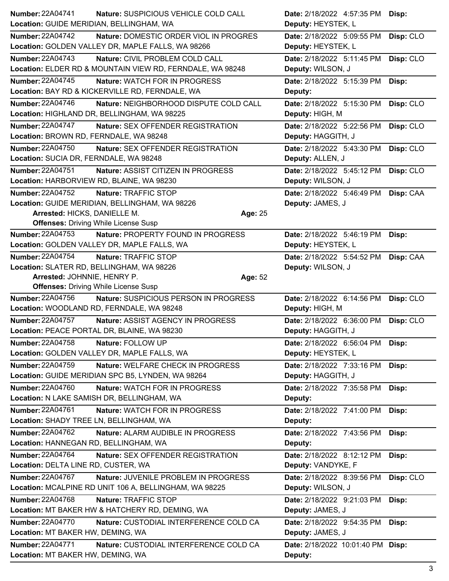| Number: 22A04741                          | Nature: SUSPICIOUS VEHICLE COLD CALL                      |         | Date: 2/18/2022 4:57:35 PM        | Disp:     |
|-------------------------------------------|-----------------------------------------------------------|---------|-----------------------------------|-----------|
| Location: GUIDE MERIDIAN, BELLINGHAM, WA  |                                                           |         | Deputy: HEYSTEK, L                |           |
| <b>Number: 22A04742</b>                   | Nature: DOMESTIC ORDER VIOL IN PROGRES                    |         | Date: 2/18/2022 5:09:55 PM        | Disp: CLO |
|                                           | Location: GOLDEN VALLEY DR, MAPLE FALLS, WA 98266         |         | Deputy: HEYSTEK, L                |           |
| <b>Number: 22A04743</b>                   | Nature: CIVIL PROBLEM COLD CALL                           |         | Date: 2/18/2022 5:11:45 PM        | Disp: CLO |
|                                           | Location: ELDER RD & MOUNTAIN VIEW RD, FERNDALE, WA 98248 |         | Deputy: WILSON, J                 |           |
| <b>Number: 22A04745</b>                   | <b>Nature: WATCH FOR IN PROGRESS</b>                      |         | Date: 2/18/2022 5:15:39 PM        | Disp:     |
|                                           | Location: BAY RD & KICKERVILLE RD, FERNDALE, WA           |         | Deputy:                           |           |
| <b>Number: 22A04746</b>                   | Nature: NEIGHBORHOOD DISPUTE COLD CALL                    |         | Date: 2/18/2022 5:15:30 PM        | Disp: CLO |
|                                           | Location: HIGHLAND DR, BELLINGHAM, WA 98225               |         | Deputy: HIGH, M                   |           |
| <b>Number: 22A04747</b>                   | Nature: SEX OFFENDER REGISTRATION                         |         | Date: 2/18/2022 5:22:56 PM        | Disp: CLO |
| Location: BROWN RD, FERNDALE, WA 98248    |                                                           |         | Deputy: HAGGITH, J                |           |
| Number: 22A04750                          | Nature: SEX OFFENDER REGISTRATION                         |         | Date: 2/18/2022 5:43:30 PM        | Disp: CLO |
| Location: SUCIA DR, FERNDALE, WA 98248    |                                                           |         | Deputy: ALLEN, J                  |           |
| Number: 22A04751                          | Nature: ASSIST CITIZEN IN PROGRESS                        |         | Date: 2/18/2022 5:45:12 PM        | Disp: CLO |
| Location: HARBORVIEW RD, BLAINE, WA 98230 |                                                           |         | Deputy: WILSON, J                 |           |
| <b>Number: 22A04752</b>                   | Nature: TRAFFIC STOP                                      |         | Date: 2/18/2022 5:46:49 PM        | Disp: CAA |
|                                           | Location: GUIDE MERIDIAN, BELLINGHAM, WA 98226            |         | Deputy: JAMES, J                  |           |
| Arrested: HICKS, DANIELLE M.              |                                                           | Age: 25 |                                   |           |
|                                           | <b>Offenses: Driving While License Susp</b>               |         |                                   |           |
| <b>Number: 22A04753</b>                   | Nature: PROPERTY FOUND IN PROGRESS                        |         | Date: 2/18/2022 5:46:19 PM        | Disp:     |
|                                           | Location: GOLDEN VALLEY DR, MAPLE FALLS, WA               |         | Deputy: HEYSTEK, L                |           |
| <b>Number: 22A04754</b>                   | Nature: TRAFFIC STOP                                      |         | Date: 2/18/2022 5:54:52 PM        | Disp: CAA |
| Location: SLATER RD, BELLINGHAM, WA 98226 |                                                           |         | Deputy: WILSON, J                 |           |
| Arrested: JOHNNIE, HENRY P.               | <b>Offenses: Driving While License Susp</b>               | Age: 52 |                                   |           |
| <b>Number: 22A04756</b>                   | Nature: SUSPICIOUS PERSON IN PROGRESS                     |         | Date: 2/18/2022 6:14:56 PM        | Disp: CLO |
|                                           | Location: WOODLAND RD, FERNDALE, WA 98248                 |         | Deputy: HIGH, M                   |           |
| Number: 22A04757                          | Nature: ASSIST AGENCY IN PROGRESS                         |         | Date: 2/18/2022 6:36:00 PM        | Disp: CLO |
|                                           | Location: PEACE PORTAL DR, BLAINE, WA 98230               |         | Deputy: HAGGITH, J                |           |
| Number: 22A04758                          | Nature: FOLLOW UP                                         |         | Date: 2/18/2022 6:56:04 PM Disp:  |           |
|                                           | Location: GOLDEN VALLEY DR, MAPLE FALLS, WA               |         | Deputy: HEYSTEK, L                |           |
| Number: 22A04759                          | Nature: WELFARE CHECK IN PROGRESS                         |         | Date: 2/18/2022 7:33:16 PM        | Disp:     |
|                                           | Location: GUIDE MERIDIAN SPC B5, LYNDEN, WA 98264         |         | Deputy: HAGGITH, J                |           |
| Number: 22A04760                          | Nature: WATCH FOR IN PROGRESS                             |         | Date: 2/18/2022 7:35:58 PM        | Disp:     |
|                                           | Location: N LAKE SAMISH DR, BELLINGHAM, WA                |         | Deputy:                           |           |
| Number: 22A04761                          | Nature: WATCH FOR IN PROGRESS                             |         | Date: 2/18/2022 7:41:00 PM        | Disp:     |
| Location: SHADY TREE LN, BELLINGHAM, WA   |                                                           |         | Deputy:                           |           |
| Number: 22A04762                          | Nature: ALARM AUDIBLE IN PROGRESS                         |         | Date: 2/18/2022 7:43:56 PM        | Disp:     |
| Location: HANNEGAN RD, BELLINGHAM, WA     |                                                           |         | Deputy:                           |           |
| <b>Number: 22A04764</b>                   | Nature: SEX OFFENDER REGISTRATION                         |         | Date: 2/18/2022 8:12:12 PM        | Disp:     |
| Location: DELTA LINE RD, CUSTER, WA       |                                                           |         | Deputy: VANDYKE, F                |           |
| Number: 22A04767                          | Nature: JUVENILE PROBLEM IN PROGRESS                      |         | Date: 2/18/2022 8:39:56 PM        | Disp: CLO |
|                                           | Location: MCALPINE RD UNIT 106 A, BELLINGHAM, WA 98225    |         | Deputy: WILSON, J                 |           |
| Number: 22A04768                          | Nature: TRAFFIC STOP                                      |         | Date: 2/18/2022 9:21:03 PM        | Disp:     |
|                                           | Location: MT BAKER HW & HATCHERY RD, DEMING, WA           |         | Deputy: JAMES, J                  |           |
| Number: 22A04770                          | Nature: CUSTODIAL INTERFERENCE COLD CA                    |         | Date: 2/18/2022 9:54:35 PM        | Disp:     |
| Location: MT BAKER HW, DEMING, WA         |                                                           |         | Deputy: JAMES, J                  |           |
|                                           |                                                           |         |                                   |           |
| <b>Number: 22A04771</b>                   | Nature: CUSTODIAL INTERFERENCE COLD CA                    |         | Date: 2/18/2022 10:01:40 PM Disp: |           |